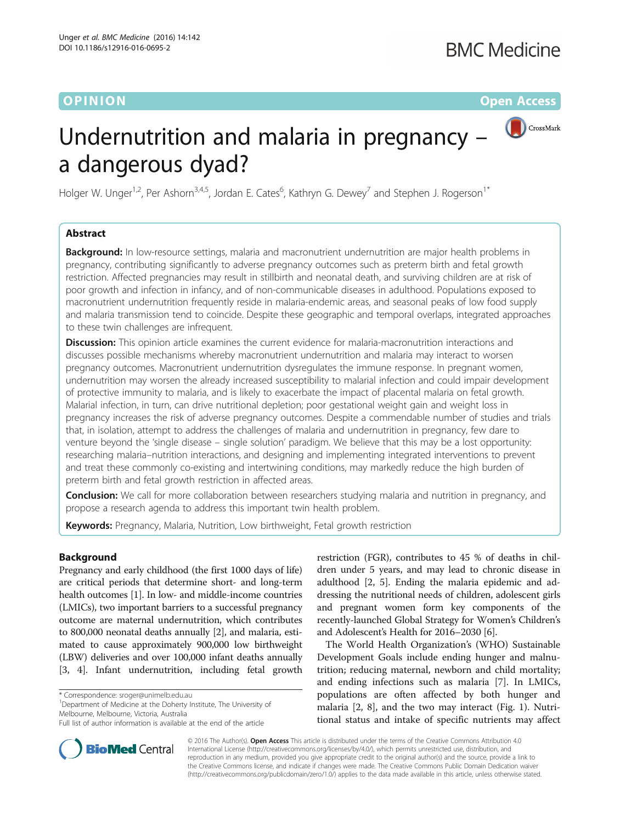O PINION Open Access



# Undernutrition and malaria in pregnancy – a dangerous dyad?

Holger W. Unger<sup>1,2</sup>, Per Ashorn<sup>3,4,5</sup>, Jordan E. Cates<sup>6</sup>, Kathryn G. Dewey<sup>7</sup> and Stephen J. Rogerson<sup>1\*</sup>

# Abstract

**Background:** In low-resource settings, malaria and macronutrient undernutrition are major health problems in pregnancy, contributing significantly to adverse pregnancy outcomes such as preterm birth and fetal growth restriction. Affected pregnancies may result in stillbirth and neonatal death, and surviving children are at risk of poor growth and infection in infancy, and of non-communicable diseases in adulthood. Populations exposed to macronutrient undernutrition frequently reside in malaria-endemic areas, and seasonal peaks of low food supply and malaria transmission tend to coincide. Despite these geographic and temporal overlaps, integrated approaches to these twin challenges are infrequent.

**Discussion:** This opinion article examines the current evidence for malaria-macronutrition interactions and discusses possible mechanisms whereby macronutrient undernutrition and malaria may interact to worsen pregnancy outcomes. Macronutrient undernutrition dysregulates the immune response. In pregnant women, undernutrition may worsen the already increased susceptibility to malarial infection and could impair development of protective immunity to malaria, and is likely to exacerbate the impact of placental malaria on fetal growth. Malarial infection, in turn, can drive nutritional depletion; poor gestational weight gain and weight loss in pregnancy increases the risk of adverse pregnancy outcomes. Despite a commendable number of studies and trials that, in isolation, attempt to address the challenges of malaria and undernutrition in pregnancy, few dare to venture beyond the 'single disease – single solution' paradigm. We believe that this may be a lost opportunity: researching malaria–nutrition interactions, and designing and implementing integrated interventions to prevent and treat these commonly co-existing and intertwining conditions, may markedly reduce the high burden of preterm birth and fetal growth restriction in affected areas.

**Conclusion:** We call for more collaboration between researchers studying malaria and nutrition in pregnancy, and propose a research agenda to address this important twin health problem.

Keywords: Pregnancy, Malaria, Nutrition, Low birthweight, Fetal growth restriction

## Background

Pregnancy and early childhood (the first 1000 days of life) are critical periods that determine short- and long-term health outcomes [\[1](#page-6-0)]. In low- and middle-income countries (LMICs), two important barriers to a successful pregnancy outcome are maternal undernutrition, which contributes to 800,000 neonatal deaths annually [[2\]](#page-6-0), and malaria, estimated to cause approximately 900,000 low birthweight (LBW) deliveries and over 100,000 infant deaths annually [[3, 4](#page-6-0)]. Infant undernutrition, including fetal growth

\* Correspondence: [sroger@unimelb.edu.au](mailto:sroger@unimelb.edu.au) <sup>1</sup>

<sup>1</sup>Department of Medicine at the Doherty Institute, The University of Melbourne, Melbourne, Victoria, Australia

restriction (FGR), contributes to 45 % of deaths in children under 5 years, and may lead to chronic disease in adulthood [\[2](#page-6-0), [5\]](#page-6-0). Ending the malaria epidemic and addressing the nutritional needs of children, adolescent girls and pregnant women form key components of the recently-launched Global Strategy for Women's Children's and Adolescent's Health for 2016–2030 [[6\]](#page-7-0).

The World Health Organization's (WHO) Sustainable Development Goals include ending hunger and malnutrition; reducing maternal, newborn and child mortality; and ending infections such as malaria [[7](#page-7-0)]. In LMICs, populations are often affected by both hunger and malaria [[2,](#page-6-0) [8\]](#page-7-0), and the two may interact (Fig. [1\)](#page-1-0). Nutritional status and intake of specific nutrients may affect



© 2016 The Author(s). Open Access This article is distributed under the terms of the Creative Commons Attribution 4.0 International License [\(http://creativecommons.org/licenses/by/4.0/](http://creativecommons.org/licenses/by/4.0/)), which permits unrestricted use, distribution, and reproduction in any medium, provided you give appropriate credit to the original author(s) and the source, provide a link to the Creative Commons license, and indicate if changes were made. The Creative Commons Public Domain Dedication waiver [\(http://creativecommons.org/publicdomain/zero/1.0/](http://creativecommons.org/publicdomain/zero/1.0/)) applies to the data made available in this article, unless otherwise stated.

Full list of author information is available at the end of the article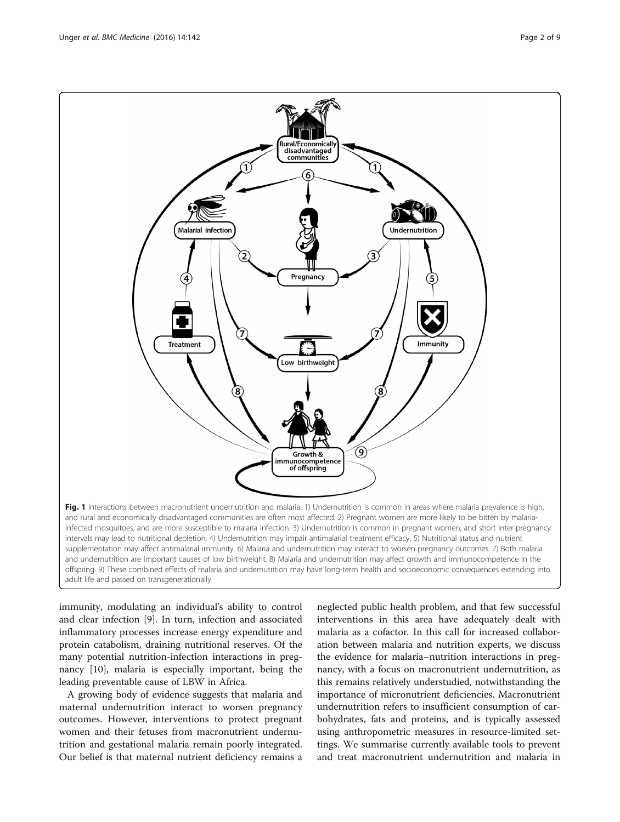<span id="page-1-0"></span>

immunity, modulating an individual's ability to control and clear infection [\[9](#page-7-0)]. In turn, infection and associated inflammatory processes increase energy expenditure and protein catabolism, draining nutritional reserves. Of the many potential nutrition-infection interactions in pregnancy [\[10](#page-7-0)], malaria is especially important, being the leading preventable cause of LBW in Africa.

A growing body of evidence suggests that malaria and maternal undernutrition interact to worsen pregnancy outcomes. However, interventions to protect pregnant women and their fetuses from macronutrient undernutrition and gestational malaria remain poorly integrated. Our belief is that maternal nutrient deficiency remains a

neglected public health problem, and that few successful interventions in this area have adequately dealt with malaria as a cofactor. In this call for increased collaboration between malaria and nutrition experts, we discuss the evidence for malaria–nutrition interactions in pregnancy, with a focus on macronutrient undernutrition, as this remains relatively understudied, notwithstanding the importance of micronutrient deficiencies. Macronutrient undernutrition refers to insufficient consumption of carbohydrates, fats and proteins, and is typically assessed using anthropometric measures in resource-limited settings. We summarise currently available tools to prevent and treat macronutrient undernutrition and malaria in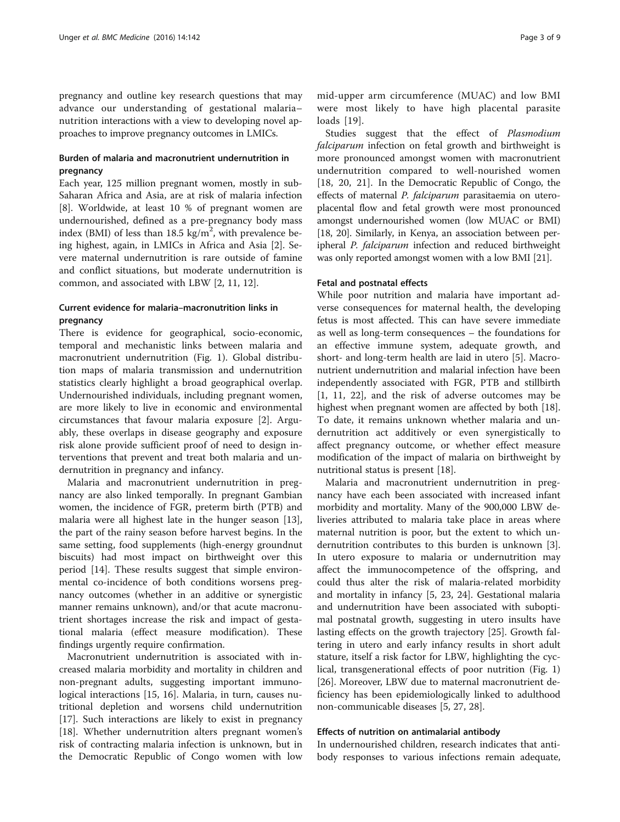pregnancy and outline key research questions that may advance our understanding of gestational malaria– nutrition interactions with a view to developing novel approaches to improve pregnancy outcomes in LMICs.

### Burden of malaria and macronutrient undernutrition in pregnancy

Each year, 125 million pregnant women, mostly in sub-Saharan Africa and Asia, are at risk of malaria infection [[8\]](#page-7-0). Worldwide, at least 10 % of pregnant women are undernourished, defined as a pre-pregnancy body mass index (BMI) of less than  $18.5 \text{ kg/m}^2$ , with prevalence being highest, again, in LMICs in Africa and Asia [[2](#page-6-0)]. Severe maternal undernutrition is rare outside of famine and conflict situations, but moderate undernutrition is common, and associated with LBW [[2,](#page-6-0) [11](#page-7-0), [12](#page-7-0)].

# Current evidence for malaria–macronutrition links in pregnancy

There is evidence for geographical, socio-economic, temporal and mechanistic links between malaria and macronutrient undernutrition (Fig. [1](#page-1-0)). Global distribution maps of malaria transmission and undernutrition statistics clearly highlight a broad geographical overlap. Undernourished individuals, including pregnant women, are more likely to live in economic and environmental circumstances that favour malaria exposure [\[2](#page-6-0)]. Arguably, these overlaps in disease geography and exposure risk alone provide sufficient proof of need to design interventions that prevent and treat both malaria and undernutrition in pregnancy and infancy.

Malaria and macronutrient undernutrition in pregnancy are also linked temporally. In pregnant Gambian women, the incidence of FGR, preterm birth (PTB) and malaria were all highest late in the hunger season [\[13](#page-7-0)], the part of the rainy season before harvest begins. In the same setting, food supplements (high-energy groundnut biscuits) had most impact on birthweight over this period [\[14](#page-7-0)]. These results suggest that simple environmental co-incidence of both conditions worsens pregnancy outcomes (whether in an additive or synergistic manner remains unknown), and/or that acute macronutrient shortages increase the risk and impact of gestational malaria (effect measure modification). These findings urgently require confirmation.

Macronutrient undernutrition is associated with increased malaria morbidity and mortality in children and non-pregnant adults, suggesting important immunological interactions [\[15, 16](#page-7-0)]. Malaria, in turn, causes nutritional depletion and worsens child undernutrition [[17\]](#page-7-0). Such interactions are likely to exist in pregnancy [[18\]](#page-7-0). Whether undernutrition alters pregnant women's risk of contracting malaria infection is unknown, but in the Democratic Republic of Congo women with low

mid-upper arm circumference (MUAC) and low BMI were most likely to have high placental parasite loads [[19](#page-7-0)].

Studies suggest that the effect of Plasmodium falciparum infection on fetal growth and birthweight is more pronounced amongst women with macronutrient undernutrition compared to well-nourished women [[18, 20](#page-7-0), [21\]](#page-7-0). In the Democratic Republic of Congo, the effects of maternal P. falciparum parasitaemia on uteroplacental flow and fetal growth were most pronounced amongst undernourished women (low MUAC or BMI) [[18](#page-7-0), [20\]](#page-7-0). Similarly, in Kenya, an association between peripheral P. falciparum infection and reduced birthweight was only reported amongst women with a low BMI [\[21](#page-7-0)].

#### Fetal and postnatal effects

While poor nutrition and malaria have important adverse consequences for maternal health, the developing fetus is most affected. This can have severe immediate as well as long-term consequences – the foundations for an effective immune system, adequate growth, and short- and long-term health are laid in utero [[5\]](#page-6-0). Macronutrient undernutrition and malarial infection have been independently associated with FGR, PTB and stillbirth [[1,](#page-6-0) [11, 22\]](#page-7-0), and the risk of adverse outcomes may be highest when pregnant women are affected by both [\[18](#page-7-0)]. To date, it remains unknown whether malaria and undernutrition act additively or even synergistically to affect pregnancy outcome, or whether effect measure modification of the impact of malaria on birthweight by nutritional status is present [\[18\]](#page-7-0).

Malaria and macronutrient undernutrition in pregnancy have each been associated with increased infant morbidity and mortality. Many of the 900,000 LBW deliveries attributed to malaria take place in areas where maternal nutrition is poor, but the extent to which undernutrition contributes to this burden is unknown [\[3](#page-6-0)]. In utero exposure to malaria or undernutrition may affect the immunocompetence of the offspring, and could thus alter the risk of malaria-related morbidity and mortality in infancy [[5,](#page-6-0) [23](#page-7-0), [24](#page-7-0)]. Gestational malaria and undernutrition have been associated with suboptimal postnatal growth, suggesting in utero insults have lasting effects on the growth trajectory [[25\]](#page-7-0). Growth faltering in utero and early infancy results in short adult stature, itself a risk factor for LBW, highlighting the cyclical, transgenerational effects of poor nutrition (Fig. [1](#page-1-0)) [[26\]](#page-7-0). Moreover, LBW due to maternal macronutrient deficiency has been epidemiologically linked to adulthood non-communicable diseases [[5,](#page-6-0) [27, 28](#page-7-0)].

#### Effects of nutrition on antimalarial antibody

In undernourished children, research indicates that antibody responses to various infections remain adequate,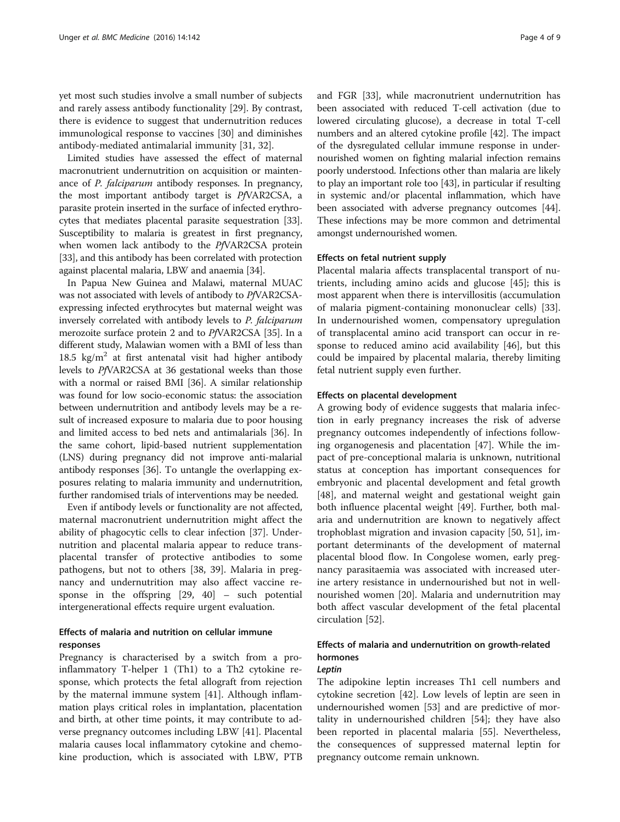yet most such studies involve a small number of subjects and rarely assess antibody functionality [[29\]](#page-7-0). By contrast, there is evidence to suggest that undernutrition reduces immunological response to vaccines [\[30\]](#page-7-0) and diminishes antibody-mediated antimalarial immunity [\[31](#page-7-0), [32\]](#page-7-0).

Limited studies have assessed the effect of maternal macronutrient undernutrition on acquisition or maintenance of P. falciparum antibody responses. In pregnancy, the most important antibody target is PfVAR2CSA, a parasite protein inserted in the surface of infected erythrocytes that mediates placental parasite sequestration [[33](#page-7-0)]. Susceptibility to malaria is greatest in first pregnancy, when women lack antibody to the PfVAR2CSA protein [[33](#page-7-0)], and this antibody has been correlated with protection against placental malaria, LBW and anaemia [[34](#page-7-0)].

In Papua New Guinea and Malawi, maternal MUAC was not associated with levels of antibody to PfVAR2CSAexpressing infected erythrocytes but maternal weight was inversely correlated with antibody levels to P. falciparum merozoite surface protein 2 and to PfVAR2CSA [[35](#page-7-0)]. In a different study, Malawian women with a BMI of less than 18.5  $\text{kg/m}^2$  at first antenatal visit had higher antibody levels to PfVAR2CSA at 36 gestational weeks than those with a normal or raised BMI [\[36\]](#page-7-0). A similar relationship was found for low socio-economic status: the association between undernutrition and antibody levels may be a result of increased exposure to malaria due to poor housing and limited access to bed nets and antimalarials [\[36\]](#page-7-0). In the same cohort, lipid-based nutrient supplementation (LNS) during pregnancy did not improve anti-malarial antibody responses [\[36\]](#page-7-0). To untangle the overlapping exposures relating to malaria immunity and undernutrition, further randomised trials of interventions may be needed.

Even if antibody levels or functionality are not affected, maternal macronutrient undernutrition might affect the ability of phagocytic cells to clear infection [[37](#page-7-0)]. Undernutrition and placental malaria appear to reduce transplacental transfer of protective antibodies to some pathogens, but not to others [[38, 39\]](#page-7-0). Malaria in pregnancy and undernutrition may also affect vaccine response in the offspring [[29, 40](#page-7-0)] – such potential intergenerational effects require urgent evaluation.

# Effects of malaria and nutrition on cellular immune responses

Pregnancy is characterised by a switch from a proinflammatory T-helper 1 (Th1) to a Th2 cytokine response, which protects the fetal allograft from rejection by the maternal immune system [[41](#page-7-0)]. Although inflammation plays critical roles in implantation, placentation and birth, at other time points, it may contribute to adverse pregnancy outcomes including LBW [[41\]](#page-7-0). Placental malaria causes local inflammatory cytokine and chemokine production, which is associated with LBW, PTB and FGR [\[33\]](#page-7-0), while macronutrient undernutrition has been associated with reduced T-cell activation (due to lowered circulating glucose), a decrease in total T-cell numbers and an altered cytokine profile [[42](#page-7-0)]. The impact of the dysregulated cellular immune response in undernourished women on fighting malarial infection remains poorly understood. Infections other than malaria are likely to play an important role too [[43](#page-7-0)], in particular if resulting in systemic and/or placental inflammation, which have

#### Effects on fetal nutrient supply

amongst undernourished women.

Placental malaria affects transplacental transport of nutrients, including amino acids and glucose [\[45](#page-7-0)]; this is most apparent when there is intervillositis (accumulation of malaria pigment-containing mononuclear cells) [\[33](#page-7-0)]. In undernourished women, compensatory upregulation of transplacental amino acid transport can occur in response to reduced amino acid availability [[46\]](#page-7-0), but this could be impaired by placental malaria, thereby limiting fetal nutrient supply even further.

been associated with adverse pregnancy outcomes [[44](#page-7-0)]. These infections may be more common and detrimental

#### Effects on placental development

A growing body of evidence suggests that malaria infection in early pregnancy increases the risk of adverse pregnancy outcomes independently of infections following organogenesis and placentation [\[47](#page-7-0)]. While the impact of pre-conceptional malaria is unknown, nutritional status at conception has important consequences for embryonic and placental development and fetal growth [[48\]](#page-7-0), and maternal weight and gestational weight gain both influence placental weight [[49](#page-7-0)]. Further, both malaria and undernutrition are known to negatively affect trophoblast migration and invasion capacity [\[50, 51\]](#page-8-0), important determinants of the development of maternal placental blood flow. In Congolese women, early pregnancy parasitaemia was associated with increased uterine artery resistance in undernourished but not in wellnourished women [[20\]](#page-7-0). Malaria and undernutrition may both affect vascular development of the fetal placental circulation [\[52](#page-8-0)].

# Effects of malaria and undernutrition on growth-related hormones

#### Leptin

The adipokine leptin increases Th1 cell numbers and cytokine secretion [[42\]](#page-7-0). Low levels of leptin are seen in undernourished women [\[53](#page-8-0)] and are predictive of mortality in undernourished children [[54\]](#page-8-0); they have also been reported in placental malaria [[55\]](#page-8-0). Nevertheless, the consequences of suppressed maternal leptin for pregnancy outcome remain unknown.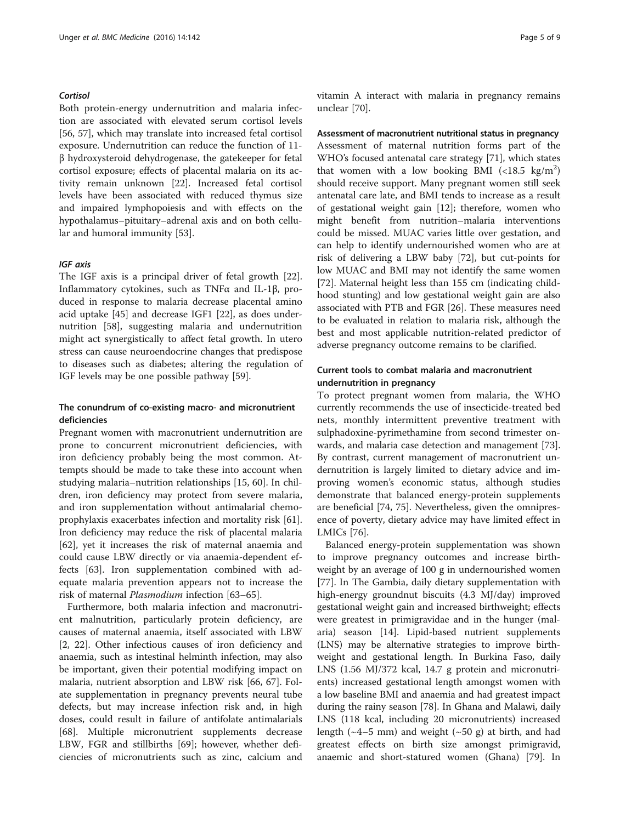#### **Cortisol**

Both protein-energy undernutrition and malaria infection are associated with elevated serum cortisol levels [[56, 57\]](#page-8-0), which may translate into increased fetal cortisol exposure. Undernutrition can reduce the function of 11 β hydroxysteroid dehydrogenase, the gatekeeper for fetal cortisol exposure; effects of placental malaria on its activity remain unknown [[22\]](#page-7-0). Increased fetal cortisol levels have been associated with reduced thymus size and impaired lymphopoiesis and with effects on the hypothalamus–pituitary–adrenal axis and on both cellular and humoral immunity [[53](#page-8-0)].

#### IGF axis

The IGF axis is a principal driver of fetal growth [\[22](#page-7-0)]. Inflammatory cytokines, such as TNFα and IL-1β, produced in response to malaria decrease placental amino acid uptake [[45](#page-7-0)] and decrease IGF1 [[22\]](#page-7-0), as does undernutrition [\[58](#page-8-0)], suggesting malaria and undernutrition might act synergistically to affect fetal growth. In utero stress can cause neuroendocrine changes that predispose to diseases such as diabetes; altering the regulation of IGF levels may be one possible pathway [\[59\]](#page-8-0).

### The conundrum of co-existing macro- and micronutrient deficiencies

Pregnant women with macronutrient undernutrition are prone to concurrent micronutrient deficiencies, with iron deficiency probably being the most common. Attempts should be made to take these into account when studying malaria–nutrition relationships [[15](#page-7-0), [60](#page-8-0)]. In children, iron deficiency may protect from severe malaria, and iron supplementation without antimalarial chemoprophylaxis exacerbates infection and mortality risk [\[61](#page-8-0)]. Iron deficiency may reduce the risk of placental malaria [[62\]](#page-8-0), yet it increases the risk of maternal anaemia and could cause LBW directly or via anaemia-dependent effects [\[63](#page-8-0)]. Iron supplementation combined with adequate malaria prevention appears not to increase the risk of maternal Plasmodium infection [[63](#page-8-0)–[65](#page-8-0)].

Furthermore, both malaria infection and macronutrient malnutrition, particularly protein deficiency, are causes of maternal anaemia, itself associated with LBW [[2,](#page-6-0) [22\]](#page-7-0). Other infectious causes of iron deficiency and anaemia, such as intestinal helminth infection, may also be important, given their potential modifying impact on malaria, nutrient absorption and LBW risk [\[66](#page-8-0), [67](#page-8-0)]. Folate supplementation in pregnancy prevents neural tube defects, but may increase infection risk and, in high doses, could result in failure of antifolate antimalarials [[68\]](#page-8-0). Multiple micronutrient supplements decrease LBW, FGR and stillbirths [[69\]](#page-8-0); however, whether deficiencies of micronutrients such as zinc, calcium and vitamin A interact with malaria in pregnancy remains unclear [\[70\]](#page-8-0).

Assessment of macronutrient nutritional status in pregnancy Assessment of maternal nutrition forms part of the WHO's focused antenatal care strategy [\[71](#page-8-0)], which states that women with a low booking BMI  $(<18.5 \text{ kg/m}^2$ )should receive support. Many pregnant women still seek antenatal care late, and BMI tends to increase as a result of gestational weight gain [[12\]](#page-7-0); therefore, women who might benefit from nutrition–malaria interventions could be missed. MUAC varies little over gestation, and can help to identify undernourished women who are at risk of delivering a LBW baby [[72\]](#page-8-0), but cut-points for low MUAC and BMI may not identify the same women [[72\]](#page-8-0). Maternal height less than 155 cm (indicating childhood stunting) and low gestational weight gain are also associated with PTB and FGR [\[26\]](#page-7-0). These measures need to be evaluated in relation to malaria risk, although the best and most applicable nutrition-related predictor of adverse pregnancy outcome remains to be clarified.

## Current tools to combat malaria and macronutrient undernutrition in pregnancy

To protect pregnant women from malaria, the WHO currently recommends the use of insecticide-treated bed nets, monthly intermittent preventive treatment with sulphadoxine-pyrimethamine from second trimester onwards, and malaria case detection and management [\[73](#page-8-0)]. By contrast, current management of macronutrient undernutrition is largely limited to dietary advice and improving women's economic status, although studies demonstrate that balanced energy-protein supplements are beneficial [\[74, 75](#page-8-0)]. Nevertheless, given the omnipresence of poverty, dietary advice may have limited effect in LMICs [\[76](#page-8-0)].

Balanced energy-protein supplementation was shown to improve pregnancy outcomes and increase birthweight by an average of 100 g in undernourished women [[77\]](#page-8-0). In The Gambia, daily dietary supplementation with high-energy groundnut biscuits (4.3 MJ/day) improved gestational weight gain and increased birthweight; effects were greatest in primigravidae and in the hunger (malaria) season [\[14](#page-7-0)]. Lipid-based nutrient supplements (LNS) may be alternative strategies to improve birthweight and gestational length. In Burkina Faso, daily LNS (1.56 MJ/372 kcal, 14.7 g protein and micronutrients) increased gestational length amongst women with a low baseline BMI and anaemia and had greatest impact during the rainy season [[78\]](#page-8-0). In Ghana and Malawi, daily LNS (118 kcal, including 20 micronutrients) increased length ( $\sim$ 4–5 mm) and weight ( $\sim$ 50 g) at birth, and had greatest effects on birth size amongst primigravid, anaemic and short-statured women (Ghana) [[79](#page-8-0)]. In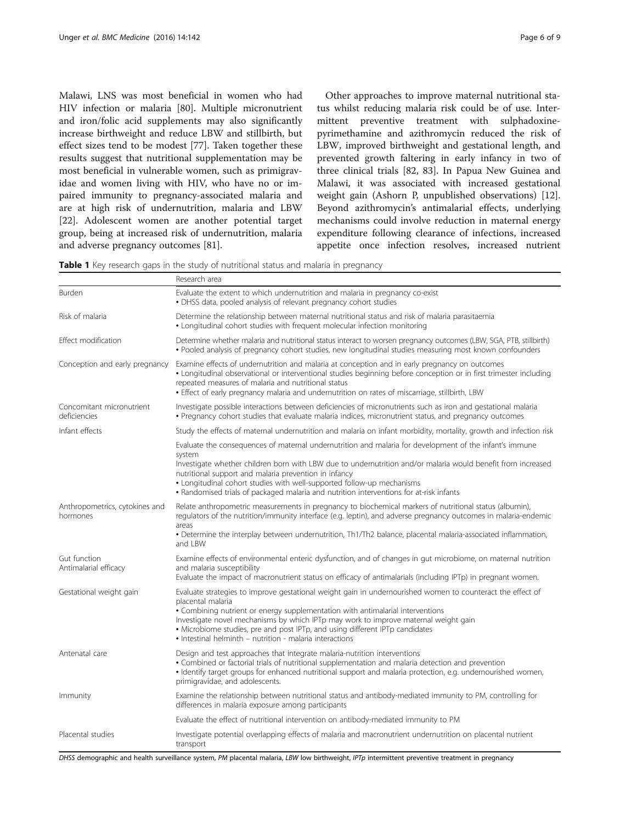<span id="page-5-0"></span>Malawi, LNS was most beneficial in women who had HIV infection or malaria [\[80\]](#page-8-0). Multiple micronutrient and iron/folic acid supplements may also significantly increase birthweight and reduce LBW and stillbirth, but effect sizes tend to be modest [\[77\]](#page-8-0). Taken together these results suggest that nutritional supplementation may be most beneficial in vulnerable women, such as primigravidae and women living with HIV, who have no or impaired immunity to pregnancy-associated malaria and are at high risk of undernutrition, malaria and LBW [[22\]](#page-7-0). Adolescent women are another potential target group, being at increased risk of undernutrition, malaria and adverse pregnancy outcomes [[81](#page-8-0)].

Other approaches to improve maternal nutritional status whilst reducing malaria risk could be of use. Intermittent preventive treatment with sulphadoxinepyrimethamine and azithromycin reduced the risk of LBW, improved birthweight and gestational length, and prevented growth faltering in early infancy in two of three clinical trials [\[82](#page-8-0), [83](#page-8-0)]. In Papua New Guinea and Malawi, it was associated with increased gestational weight gain (Ashorn P, unpublished observations) [\[12](#page-7-0)]. Beyond azithromycin's antimalarial effects, underlying mechanisms could involve reduction in maternal energy expenditure following clearance of infections, increased appetite once infection resolves, increased nutrient

Table 1 Key research gaps in the study of nutritional status and malaria in pregnancy

|                                            | Research area                                                                                                                                                                                                                                                                                                                                                                                                                                                   |
|--------------------------------------------|-----------------------------------------------------------------------------------------------------------------------------------------------------------------------------------------------------------------------------------------------------------------------------------------------------------------------------------------------------------------------------------------------------------------------------------------------------------------|
| Burden                                     | Evaluate the extent to which undernutrition and malaria in pregnancy co-exist<br>• DHSS data, pooled analysis of relevant pregnancy cohort studies                                                                                                                                                                                                                                                                                                              |
| Risk of malaria                            | Determine the relationship between maternal nutritional status and risk of malaria parasitaemia<br>• Longitudinal cohort studies with frequent molecular infection monitoring                                                                                                                                                                                                                                                                                   |
| Effect modification                        | Determine whether malaria and nutritional status interact to worsen pregnancy outcomes (LBW, SGA, PTB, stillbirth)<br>• Pooled analysis of pregnancy cohort studies, new longitudinal studies measuring most known confounders                                                                                                                                                                                                                                  |
| Conception and early pregnancy             | Examine effects of undernutrition and malaria at conception and in early pregnancy on outcomes<br>• Longitudinal observational or interventional studies beginning before conception or in first trimester including<br>repeated measures of malaria and nutritional status<br>. Effect of early pregnancy malaria and undernutrition on rates of miscarriage, stillbirth, LBW                                                                                  |
| Concomitant micronutrient<br>deficiencies  | Investigate possible interactions between deficiencies of micronutrients such as iron and gestational malaria<br>• Pregnancy cohort studies that evaluate malaria indices, micronutrient status, and pregnancy outcomes                                                                                                                                                                                                                                         |
| Infant effects                             | Study the effects of maternal undernutrition and malaria on infant morbidity, mortality, growth and infection risk                                                                                                                                                                                                                                                                                                                                              |
|                                            | Evaluate the consequences of maternal undernutrition and malaria for development of the infant's immune<br>system<br>Investigate whether children born with LBW due to undernutrition and/or malaria would benefit from increased<br>nutritional support and malaria prevention in infancy<br>• Longitudinal cohort studies with well-supported follow-up mechanisms<br>• Randomised trials of packaged malaria and nutrition interventions for at-risk infants |
| Anthropometrics, cytokines and<br>hormones | Relate anthropometric measurements in pregnancy to biochemical markers of nutritional status (albumin),<br>regulators of the nutrition/immunity interface (e.g. leptin), and adverse pregnancy outcomes in malaria-endemic<br>areas<br>• Determine the interplay between undernutrition, Th1/Th2 balance, placental malaria-associated inflammation,<br>and LBW                                                                                                 |
| Gut function<br>Antimalarial efficacy      | Examine effects of environmental enteric dysfunction, and of changes in gut microbiome, on maternal nutrition<br>and malaria susceptibility<br>Evaluate the impact of macronutrient status on efficacy of antimalarials (including IPTp) in pregnant women.                                                                                                                                                                                                     |
| Gestational weight gain                    | Evaluate strategies to improve gestational weight gain in undernourished women to counteract the effect of<br>placental malaria<br>• Combining nutrient or energy supplementation with antimalarial interventions<br>Investigate novel mechanisms by which IPTp may work to improve maternal weight gain<br>• Microbiome studies, pre and post IPTp, and using different IPTp candidates<br>• Intestinal helminth – nutrition - malaria interactions            |
| Antenatal care                             | Design and test approaches that integrate malaria-nutrition interventions<br>• Combined or factorial trials of nutritional supplementation and malaria detection and prevention<br>· Identify target groups for enhanced nutritional support and malaria protection, e.g. undernourished women,<br>primigravidae, and adolescents.                                                                                                                              |
| Immunity                                   | Examine the relationship between nutritional status and antibody-mediated immunity to PM, controlling for<br>differences in malaria exposure among participants                                                                                                                                                                                                                                                                                                 |
|                                            | Evaluate the effect of nutritional intervention on antibody-mediated immunity to PM                                                                                                                                                                                                                                                                                                                                                                             |
| Placental studies                          | Investigate potential overlapping effects of malaria and macronutrient undernutrition on placental nutrient<br>transport                                                                                                                                                                                                                                                                                                                                        |

DHSS demographic and health surveillance system, PM placental malaria, LBW low birthweight, IPTp intermittent preventive treatment in pregnancy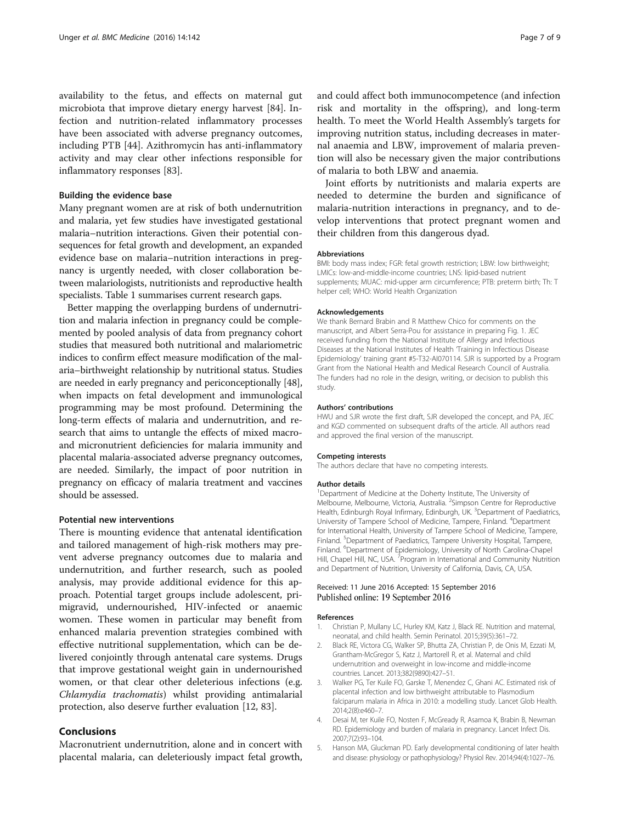<span id="page-6-0"></span>availability to the fetus, and effects on maternal gut microbiota that improve dietary energy harvest [[84](#page-8-0)]. Infection and nutrition-related inflammatory processes have been associated with adverse pregnancy outcomes, including PTB [\[44](#page-7-0)]. Azithromycin has anti-inflammatory activity and may clear other infections responsible for inflammatory responses [\[83](#page-8-0)].

#### Building the evidence base

Many pregnant women are at risk of both undernutrition and malaria, yet few studies have investigated gestational malaria–nutrition interactions. Given their potential consequences for fetal growth and development, an expanded evidence base on malaria–nutrition interactions in pregnancy is urgently needed, with closer collaboration between malariologists, nutritionists and reproductive health specialists. Table [1](#page-5-0) summarises current research gaps.

Better mapping the overlapping burdens of undernutrition and malaria infection in pregnancy could be complemented by pooled analysis of data from pregnancy cohort studies that measured both nutritional and malariometric indices to confirm effect measure modification of the malaria–birthweight relationship by nutritional status. Studies are needed in early pregnancy and periconceptionally [[48](#page-7-0)], when impacts on fetal development and immunological programming may be most profound. Determining the long-term effects of malaria and undernutrition, and research that aims to untangle the effects of mixed macroand micronutrient deficiencies for malaria immunity and placental malaria-associated adverse pregnancy outcomes, are needed. Similarly, the impact of poor nutrition in pregnancy on efficacy of malaria treatment and vaccines should be assessed.

#### Potential new interventions

There is mounting evidence that antenatal identification and tailored management of high-risk mothers may prevent adverse pregnancy outcomes due to malaria and undernutrition, and further research, such as pooled analysis, may provide additional evidence for this approach. Potential target groups include adolescent, primigravid, undernourished, HIV-infected or anaemic women. These women in particular may benefit from enhanced malaria prevention strategies combined with effective nutritional supplementation, which can be delivered conjointly through antenatal care systems. Drugs that improve gestational weight gain in undernourished women, or that clear other deleterious infections (e.g. Chlamydia trachomatis) whilst providing antimalarial protection, also deserve further evaluation [[12,](#page-7-0) [83\]](#page-8-0).

# Conclusions

Macronutrient undernutrition, alone and in concert with placental malaria, can deleteriously impact fetal growth,

and could affect both immunocompetence (and infection risk and mortality in the offspring), and long-term health. To meet the World Health Assembly's targets for improving nutrition status, including decreases in maternal anaemia and LBW, improvement of malaria prevention will also be necessary given the major contributions of malaria to both LBW and anaemia.

Joint efforts by nutritionists and malaria experts are needed to determine the burden and significance of malaria-nutrition interactions in pregnancy, and to develop interventions that protect pregnant women and their children from this dangerous dyad.

#### Abbreviations

BMI: body mass index; FGR: fetal growth restriction; LBW: low birthweight; LMICs: low-and-middle-income countries; LNS: lipid-based nutrient supplements; MUAC: mid-upper arm circumference; PTB: preterm birth; Th: T helper cell; WHO: World Health Organization

#### Acknowledgements

We thank Bernard Brabin and R Matthew Chico for comments on the manuscript, and Albert Serra-Pou for assistance in preparing Fig. [1](#page-1-0). JEC received funding from the National Institute of Allergy and Infectious Diseases at the National Institutes of Health 'Training in Infectious Disease Epidemiology' training grant #5-T32-AI070114. SJR is supported by a Program Grant from the National Health and Medical Research Council of Australia. The funders had no role in the design, writing, or decision to publish this study.

#### Authors' contributions

HWU and SJR wrote the first draft, SJR developed the concept, and PA, JEC and KGD commented on subsequent drafts of the article. All authors read and approved the final version of the manuscript.

#### Competing interests

The authors declare that have no competing interests.

#### Author details

<sup>1</sup>Department of Medicine at the Doherty Institute, The University of Melbourne, Melbourne, Victoria, Australia. <sup>2</sup>Simpson Centre for Reproductive Health, Edinburgh Royal Infirmary, Edinburgh, UK. <sup>3</sup>Department of Paediatrics University of Tampere School of Medicine, Tampere, Finland. <sup>4</sup> Department for International Health, University of Tampere School of Medicine, Tampere, Finland. <sup>5</sup>Department of Paediatrics, Tampere University Hospital, Tampere Finland. <sup>6</sup>Department of Epidemiology, University of North Carolina-Chapel Hill, Chapel Hill, NC, USA. <sup>7</sup> Program in International and Community Nutrition and Department of Nutrition, University of California, Davis, CA, USA.

#### Received: 11 June 2016 Accepted: 15 September 2016 Published online: 19 September 2016

#### References

- 1. Christian P, Mullany LC, Hurley KM, Katz J, Black RE. Nutrition and maternal, neonatal, and child health. Semin Perinatol. 2015;39(5):361–72.
- 2. Black RE, Victora CG, Walker SP, Bhutta ZA, Christian P, de Onis M, Ezzati M, Grantham-McGregor S, Katz J, Martorell R, et al. Maternal and child undernutrition and overweight in low-income and middle-income countries. Lancet. 2013;382(9890):427–51.
- 3. Walker PG, Ter Kuile FO, Garske T, Menendez C, Ghani AC. Estimated risk of placental infection and low birthweight attributable to Plasmodium falciparum malaria in Africa in 2010: a modelling study. Lancet Glob Health. 2014;2(8):e460–7.
- 4. Desai M, ter Kuile FO, Nosten F, McGready R, Asamoa K, Brabin B, Newman RD. Epidemiology and burden of malaria in pregnancy. Lancet Infect Dis. 2007;7(2):93–104.
- 5. Hanson MA, Gluckman PD. Early developmental conditioning of later health and disease: physiology or pathophysiology? Physiol Rev. 2014;94(4):1027–76.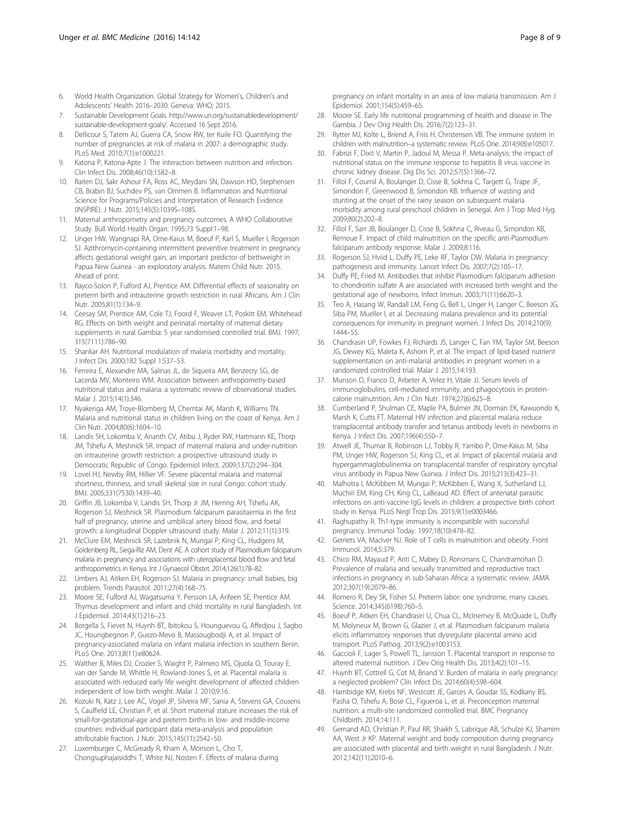- <span id="page-7-0"></span>6. World Health Organization. Global Strategy for Women's, Children's and Adolescents' Health 2016–2030. Geneva: WHO; 2015.
- 7. Sustainable Development Goals. [http://www.un.org/sustainabledevelopment/](http://www.un.org/sustainabledevelopment/sustainable-development-goals/) [sustainable-development-goals/](http://www.un.org/sustainabledevelopment/sustainable-development-goals/). Accessed 16 Sept 2016.
- 8. Dellicour S, Tatem AJ, Guerra CA, Snow RW, ter Kuile FO. Quantifying the number of pregnancies at risk of malaria in 2007: a demographic study. PLoS Med. 2010;7(1):e1000221.
- 9. Katona P, Katona-Apte J. The interaction between nutrition and infection. Clin Infect Dis. 2008;46(10):1582–8.
- 10. Raiten DJ, Sakr Ashour FA, Ross AC, Meydani SN, Dawson HD, Stephensen CB, Brabin BJ, Suchdev PS, van Ommen B. Inflammation and Nutritional Science for Programs/Policies and Interpretation of Research Evidence (INSPIRE). J Nutr. 2015;145(5):1039S–108S.
- 11. Maternal anthropometry and pregnancy outcomes. A WHO Collaborative Study. Bull World Health Organ. 1995;73 Suppl:1–98.
- 12. Unger HW, Wangnapi RA, Ome-Kaius M, Boeuf P, Karl S, Mueller I, Rogerson SJ. Azithromycin-containing intermittent preventive treatment in pregnancy affects gestational weight gain, an important predictor of birthweight in Papua New Guinea - an exploratory analysis. Matern Child Nutr. 2015. Ahead of print.
- 13. Rayco-Solon P, Fulford AJ, Prentice AM. Differential effects of seasonality on preterm birth and intrauterine growth restriction in rural Africans. Am J Clin Nutr. 2005;81(1):134–9.
- 14. Ceesay SM, Prentice AM, Cole TJ, Foord F, Weaver LT, Poskitt EM, Whitehead RG. Effects on birth weight and perinatal mortality of maternal dietary supplements in rural Gambia: 5 year randomised controlled trial. BMJ. 1997; 315(7111):786–90.
- 15. Shankar AH. Nutritional modulation of malaria morbidity and mortality. J Infect Dis. 2000;182 Suppl 1:S37–53.
- 16. Ferreira E, Alexandre MA, Salinas JL, de Siqueira AM, Benzecry SG, de Lacerda MV, Monteiro WM. Association between anthropometry-based nutritional status and malaria: a systematic review of observational studies. Malar J. 2015;14(1):346.
- 17. Nyakeriga AM, Troye-Blomberg M, Chemtai AK, Marsh K, Williams TN. Malaria and nutritional status in children living on the coast of Kenya. Am J Clin Nutr. 2004;80(6):1604–10.
- 18. Landis SH, Lokomba V, Ananth CV, Atibu J, Ryder RW, Hartmann KE, Thorp JM, Tshefu A, Meshnick SR. Impact of maternal malaria and under-nutrition on intrauterine growth restriction: a prospective ultrasound study in Democratic Republic of Congo. Epidemiol Infect. 2009;137(2):294–304.
- 19. Lovel HJ, Newby RM, Hillier VF. Severe placental malaria and maternal shortness, thinness, and small skeletal size in rural Congo: cohort study. BMJ. 2005;331(7530):1439–40.
- 20. Griffin JB, Lokomba V, Landis SH, Thorp Jr JM, Herring AH, Tshefu AK, Rogerson SJ, Meshnick SR. Plasmodium falciparum parasitaemia in the first half of pregnancy, uterine and umbilical artery blood flow, and foetal growth: a longitudinal Doppler ultrasound study. Malar J. 2012;11(1):319.
- 21. McClure EM, Meshnick SR, Lazebnik N, Mungai P, King CL, Hudgens M, Goldenberg RL, Siega-Riz AM, Dent AE. A cohort study of Plasmodium falciparum malaria in pregnancy and associations with uteroplacental blood flow and fetal anthropometrics in Kenya. Int J Gynaecol Obstet. 2014;126(1):78–82.
- 22. Umbers AJ, Aitken EH, Rogerson SJ. Malaria in pregnancy: small babies, big problem. Trends Parasitol. 2011;27(4):168–75.
- 23. Moore SE, Fulford AJ, Wagatsuma Y, Persson LA, Arifeen SE, Prentice AM. Thymus development and infant and child mortality in rural Bangladesh. Int J Epidemiol. 2014;43(1):216–23.
- 24. Borgella S, Fievet N, Huynh BT, Ibitokou S, Hounguevou G, Affedjou J, Sagbo JC, Houngbegnon P, Guezo-Mevo B, Massougbodji A, et al. Impact of pregnancy-associated malaria on infant malaria infection in southern Benin. PLoS One. 2013;8(11):e80624.
- 25. Walther B, Miles DJ, Crozier S, Waight P, Palmero MS, Ojuola O, Touray E, van der Sande M, Whittle H, Rowland-Jones S, et al. Placental malaria is associated with reduced early life weight development of affected children independent of low birth weight. Malar J. 2010;9:16.
- 26. Kozuki N, Katz J, Lee AC, Vogel JP, Silveira MF, Sania A, Stevens GA, Cousens S, Caulfield LE, Christian P, et al. Short maternal stature increases the risk of small-for-gestational-age and preterm births in low- and middle-income countries: individual participant data meta-analysis and population attributable fraction. J Nutr. 2015;145(11):2542–50.
- 27. Luxemburger C, McGready R, Kham A, Morison L, Cho T, Chongsuphajaisiddhi T, White NJ, Nosten F. Effects of malaria during

pregnancy on infant mortality in an area of low malaria transmission. Am J Epidemiol. 2001;154(5):459–65.

- 28. Moore SE. Early life nutritional programming of health and disease in The Gambia. J Dev Orig Health Dis. 2016;7(2):123–31.
- 29. Rytter MJ, Kolte L, Briend A, Friis H, Christensen VB. The immune system in children with malnutrition–a systematic review. PLoS One. 2014;9(8):e105017.
- Fabrizi F, Dixit V, Martin P, Jadoul M, Messa P. Meta-analysis: the impact of nutritional status on the immune response to hepatitis B virus vaccine in chronic kidney disease. Dig Dis Sci. 2012;57(5):1366–72.
- 31. Fillol F, Cournil A, Boulanger D, Cisse B, Sokhna C, Targett G, Trape JF, Simondon F, Greenwood B, Simondon KB. Influence of wasting and stunting at the onset of the rainy season on subsequent malaria morbidity among rural preschool children in Senegal. Am J Trop Med Hyg. 2009;80(2):202–8.
- 32. Fillol F, Sarr JB, Boulanger D, Cisse B, Sokhna C, Riveau G, Simondon KB, Remoue F. Impact of child malnutrition on the specific anti-Plasmodium falciparum antibody response. Malar J. 2009;8:116.
- 33. Rogerson SJ, Hviid L, Duffy PE, Leke RF, Taylor DW. Malaria in pregnancy: pathogenesis and immunity. Lancet Infect Dis. 2007;7(2):105–17.
- 34. Duffy PE, Fried M. Antibodies that inhibit Plasmodium falciparum adhesion to chondroitin sulfate A are associated with increased birth weight and the gestational age of newborns. Infect Immun. 2003;71(11):6620–3.
- 35. Teo A, Hasang W, Randall LM, Feng G, Bell L, Unger H, Langer C, Beeson JG, Siba PM, Mueller I, et al. Decreasing malaria prevalence and its potential consequences for immunity in pregnant women. J Infect Dis. 2014;210(9): 1444–55.
- 36. Chandrasiri UP, Fowkes FJ, Richards JS, Langer C, Fan YM, Taylor SM, Beeson JG, Dewey KG, Maleta K, Ashorn P, et al. The impact of lipid-based nutrient supplementation on anti-malarial antibodies in pregnant women in a randomized controlled trial. Malar J. 2015;14:193.
- 37. Munson D, Franco D, Arbeter A, Velez H, Vitale JJ. Serum levels of immunoglobulins, cell-mediated immunity, and phagocytosis in proteincalorie malnutrition. Am J Clin Nutr. 1974;27(6):625–8.
- 38. Cumberland P, Shulman CE, Maple PA, Bulmer JN, Dorman EK, Kawuondo K, Marsh K, Cutts FT. Maternal HIV infection and placental malaria reduce transplacental antibody transfer and tetanus antibody levels in newborns in Kenya. J Infect Dis. 2007;196(4):550–7.
- 39. Atwell JE, Thumar B, Robinson LJ, Tobby R, Yambo P, Ome-Kaius M, Siba PM, Unger HW, Rogerson SJ, King CL, et al. Impact of placental malaria and hypergammaglobulinemia on transplacental transfer of respiratory syncytial virus antibody in Papua New Guinea. J Infect Dis. 2015;213(3):423–31.
- 40. Malhotra I, McKibben M, Mungai P, McKibben E, Wang X, Sutherland LJ, Muchiri EM, King CH, King CL, LaBeaud AD. Effect of antenatal parasitic infections on anti-vaccine IgG levels in children: a prospective birth cohort study in Kenya. PLoS Negl Trop Dis. 2015;9(1):e0003466.
- 41. Raghupathy R. Th1-type immunity is incompatible with successful pregnancy. Immunol Today. 1997;18(10):478–82.
- 42. Gerriets VA, MacIver NJ. Role of T cells in malnutrition and obesity. Front Immunol. 2014;5:379.
- 43. Chico RM, Mayaud P, Ariti C, Mabey D, Ronsmans C, Chandramohan D. Prevalence of malaria and sexually transmitted and reproductive tract infections in pregnancy in sub-Saharan Africa: a systematic review. JAMA. 2012;307(19):2079–86.
- 44. Romero R, Dey SK, Fisher SJ. Preterm labor: one syndrome, many causes. Science. 2014;345(6198):760–5.
- 45. Boeuf P, Aitken EH, Chandrasiri U, Chua CL, McInerney B, McQuade L, Duffy M, Molyneux M, Brown G, Glazier J, et al. Plasmodium falciparum malaria elicits inflammatory responses that dysregulate placental amino acid transport. PLoS Pathog. 2013;9(2):e1003153.
- 46. Gaccioli F, Lager S, Powell TL, Jansson T. Placental transport in response to altered maternal nutrition. J Dev Orig Health Dis. 2013;4(2):101–15.
- 47. Huynh BT, Cottrell G, Cot M, Briand V. Burden of malaria in early pregnancy: a neglected problem? Clin Infect Dis. 2014;60(4):598–604.
- 48. Hambidge KM, Krebs NF, Westcott JE, Garces A, Goudar SS, Kodkany BS, Pasha O, Tshefu A, Bose CL, Figueroa L, et al. Preconception maternal nutrition: a multi-site randomized controlled trial. BMC Pregnancy Childbirth. 2014;14:111.
- 49. Gernand AD, Christian P, Paul RR, Shaikh S, Labrique AB, Schulze KJ, Shamim AA, West Jr KP. Maternal weight and body composition during pregnancy are associated with placental and birth weight in rural Bangladesh. J Nutr. 2012;142(11):2010–6.